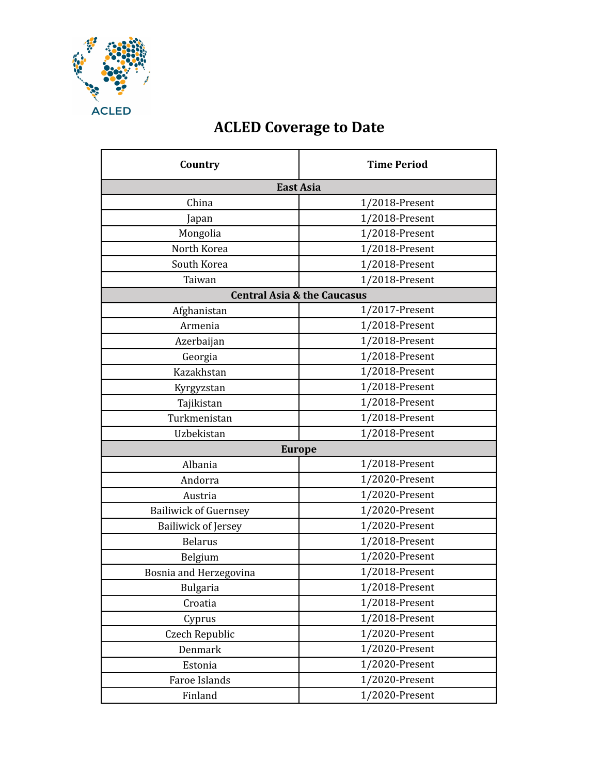

## **ACLED Coverage to Date**

| Country                                | <b>Time Period</b> |  |
|----------------------------------------|--------------------|--|
|                                        | <b>East Asia</b>   |  |
| China                                  | $1/2018$ -Present  |  |
| Japan                                  | 1/2018-Present     |  |
| Mongolia                               | 1/2018-Present     |  |
| North Korea                            | 1/2018-Present     |  |
| South Korea                            | $1/2018$ -Present  |  |
| Taiwan                                 | 1/2018-Present     |  |
| <b>Central Asia &amp; the Caucasus</b> |                    |  |
| Afghanistan                            | 1/2017-Present     |  |
| Armenia                                | 1/2018-Present     |  |
| Azerbaijan                             | 1/2018-Present     |  |
| Georgia                                | 1/2018-Present     |  |
| Kazakhstan                             | 1/2018-Present     |  |
| Kyrgyzstan                             | 1/2018-Present     |  |
| Tajikistan                             | 1/2018-Present     |  |
| Turkmenistan                           | 1/2018-Present     |  |
| Uzbekistan                             | 1/2018-Present     |  |
| <b>Europe</b>                          |                    |  |
| Albania                                | 1/2018-Present     |  |
| Andorra                                | 1/2020-Present     |  |
| Austria                                | 1/2020-Present     |  |
| <b>Bailiwick of Guernsey</b>           | 1/2020-Present     |  |
| <b>Bailiwick of Jersey</b>             | 1/2020-Present     |  |
| <b>Belarus</b>                         | 1/2018-Present     |  |
| Belgium                                | 1/2020-Present     |  |
| Bosnia and Herzegovina                 | 1/2018-Present     |  |
| <b>Bulgaria</b>                        | 1/2018-Present     |  |
| Croatia                                | 1/2018-Present     |  |
| Cyprus                                 | 1/2018-Present     |  |
| Czech Republic                         | 1/2020-Present     |  |
| Denmark                                | 1/2020-Present     |  |
| Estonia                                | 1/2020-Present     |  |
| Faroe Islands                          | 1/2020-Present     |  |
| Finland                                | 1/2020-Present     |  |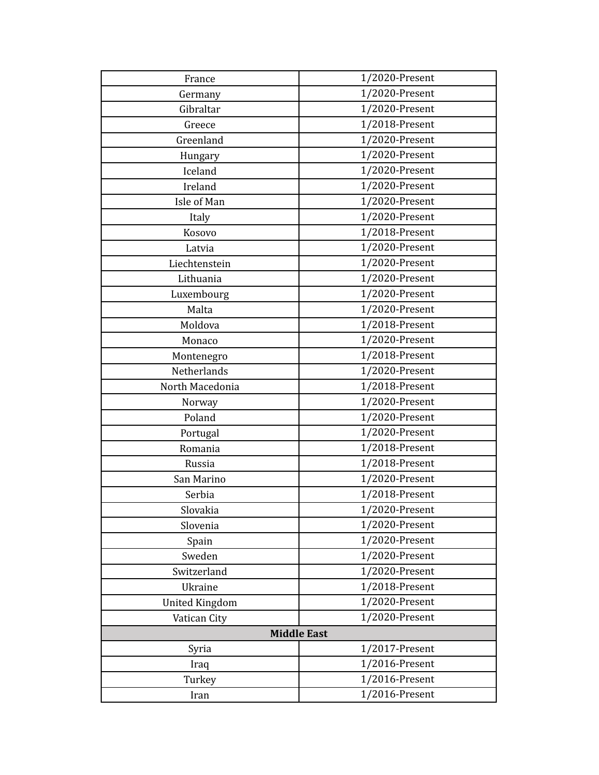| France                | 1/2020-Present |  |
|-----------------------|----------------|--|
| Germany               | 1/2020-Present |  |
| Gibraltar             | 1/2020-Present |  |
| Greece                | 1/2018-Present |  |
| Greenland             | 1/2020-Present |  |
| Hungary               | 1/2020-Present |  |
| Iceland               | 1/2020-Present |  |
| Ireland               | 1/2020-Present |  |
| Isle of Man           | 1/2020-Present |  |
| Italy                 | 1/2020-Present |  |
| Kosovo                | 1/2018-Present |  |
| Latvia                | 1/2020-Present |  |
| Liechtenstein         | 1/2020-Present |  |
| Lithuania             | 1/2020-Present |  |
| Luxembourg            | 1/2020-Present |  |
| Malta                 | 1/2020-Present |  |
| Moldova               | 1/2018-Present |  |
| Monaco                | 1/2020-Present |  |
| Montenegro            | 1/2018-Present |  |
| Netherlands           | 1/2020-Present |  |
| North Macedonia       | 1/2018-Present |  |
| Norway                | 1/2020-Present |  |
| Poland                | 1/2020-Present |  |
| Portugal              | 1/2020-Present |  |
| Romania               | 1/2018-Present |  |
| Russia                | 1/2018-Present |  |
| San Marino            | 1/2020-Present |  |
| Serbia                | 1/2018-Present |  |
| Slovakia              | 1/2020-Present |  |
| Slovenia              | 1/2020-Present |  |
| Spain                 | 1/2020-Present |  |
| Sweden                | 1/2020-Present |  |
| Switzerland           | 1/2020-Present |  |
| Ukraine               | 1/2018-Present |  |
| <b>United Kingdom</b> | 1/2020-Present |  |
| Vatican City          | 1/2020-Present |  |
| <b>Middle East</b>    |                |  |
| Syria                 | 1/2017-Present |  |
| Iraq                  | 1/2016-Present |  |
| Turkey                | 1/2016-Present |  |
| Iran                  | 1/2016-Present |  |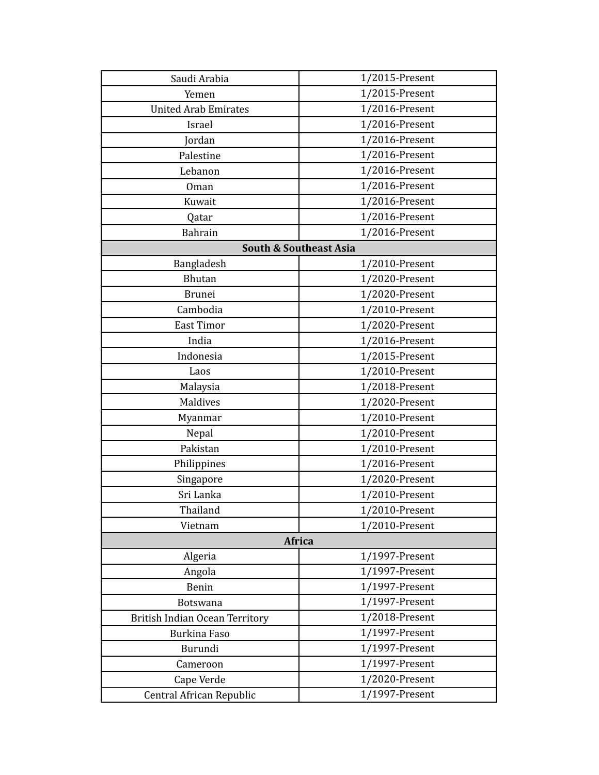| Saudi Arabia                          | 1/2015-Present |  |
|---------------------------------------|----------------|--|
| Yemen                                 | 1/2015-Present |  |
| <b>United Arab Emirates</b>           | 1/2016-Present |  |
| Israel                                | 1/2016-Present |  |
| Jordan                                | 1/2016-Present |  |
| Palestine                             | 1/2016-Present |  |
| Lebanon                               | 1/2016-Present |  |
| Oman                                  | 1/2016-Present |  |
| Kuwait                                | 1/2016-Present |  |
| Qatar                                 | 1/2016-Present |  |
| <b>Bahrain</b>                        | 1/2016-Present |  |
| <b>South &amp; Southeast Asia</b>     |                |  |
| Bangladesh                            | 1/2010-Present |  |
| Bhutan                                | 1/2020-Present |  |
| <b>Brunei</b>                         | 1/2020-Present |  |
| Cambodia                              | 1/2010-Present |  |
| <b>East Timor</b>                     | 1/2020-Present |  |
| India                                 | 1/2016-Present |  |
| Indonesia                             | 1/2015-Present |  |
| Laos                                  | 1/2010-Present |  |
| Malaysia                              | 1/2018-Present |  |
| <b>Maldives</b>                       | 1/2020-Present |  |
| Myanmar                               | 1/2010-Present |  |
| Nepal                                 | 1/2010-Present |  |
| Pakistan                              | 1/2010-Present |  |
| Philippines                           | 1/2016-Present |  |
| Singapore                             | 1/2020-Present |  |
| Sri Lanka                             | 1/2010-Present |  |
| Thailand                              | 1/2010-Present |  |
| Vietnam                               | 1/2010-Present |  |
| Africa                                |                |  |
| Algeria                               | 1/1997-Present |  |
| Angola                                | 1/1997-Present |  |
| Benin                                 | 1/1997-Present |  |
| Botswana                              | 1/1997-Present |  |
| <b>British Indian Ocean Territory</b> | 1/2018-Present |  |
| <b>Burkina Faso</b>                   | 1/1997-Present |  |
| Burundi                               | 1/1997-Present |  |
| Cameroon                              | 1/1997-Present |  |
| Cape Verde                            | 1/2020-Present |  |
| Central African Republic              | 1/1997-Present |  |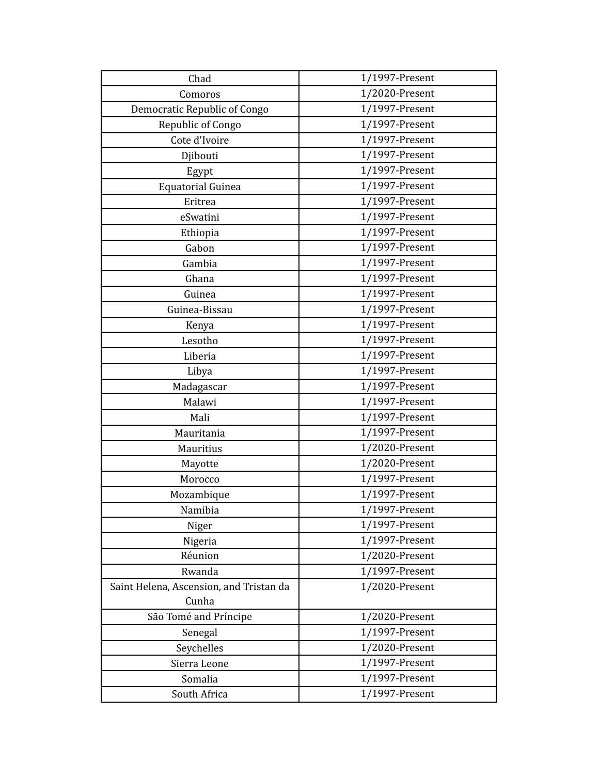| Chad                                    | 1/1997-Present |
|-----------------------------------------|----------------|
| Comoros                                 | 1/2020-Present |
| Democratic Republic of Congo            | 1/1997-Present |
| Republic of Congo                       | 1/1997-Present |
| Cote d'Ivoire                           | 1/1997-Present |
| Djibouti                                | 1/1997-Present |
| Egypt                                   | 1/1997-Present |
| <b>Equatorial Guinea</b>                | 1/1997-Present |
| Eritrea                                 | 1/1997-Present |
| eSwatini                                | 1/1997-Present |
| Ethiopia                                | 1/1997-Present |
| Gabon                                   | 1/1997-Present |
| Gambia                                  | 1/1997-Present |
| Ghana                                   | 1/1997-Present |
| Guinea                                  | 1/1997-Present |
| Guinea-Bissau                           | 1/1997-Present |
| Kenya                                   | 1/1997-Present |
| Lesotho                                 | 1/1997-Present |
| Liberia                                 | 1/1997-Present |
| Libya                                   | 1/1997-Present |
| Madagascar                              | 1/1997-Present |
| Malawi                                  | 1/1997-Present |
| Mali                                    | 1/1997-Present |
| Mauritania                              | 1/1997-Present |
| Mauritius                               | 1/2020-Present |
| Mayotte                                 | 1/2020-Present |
| Morocco                                 | 1/1997-Present |
| Mozambique                              | 1/1997-Present |
| Namibia                                 | 1/1997-Present |
| Niger                                   | 1/1997-Present |
| Nigeria                                 | 1/1997-Present |
| Réunion                                 | 1/2020-Present |
| Rwanda                                  | 1/1997-Present |
| Saint Helena, Ascension, and Tristan da | 1/2020-Present |
| Cunha                                   |                |
| São Tomé and Príncipe                   | 1/2020-Present |
| Senegal                                 | 1/1997-Present |
| Seychelles                              | 1/2020-Present |
| Sierra Leone                            | 1/1997-Present |
| Somalia                                 | 1/1997-Present |
| South Africa                            | 1/1997-Present |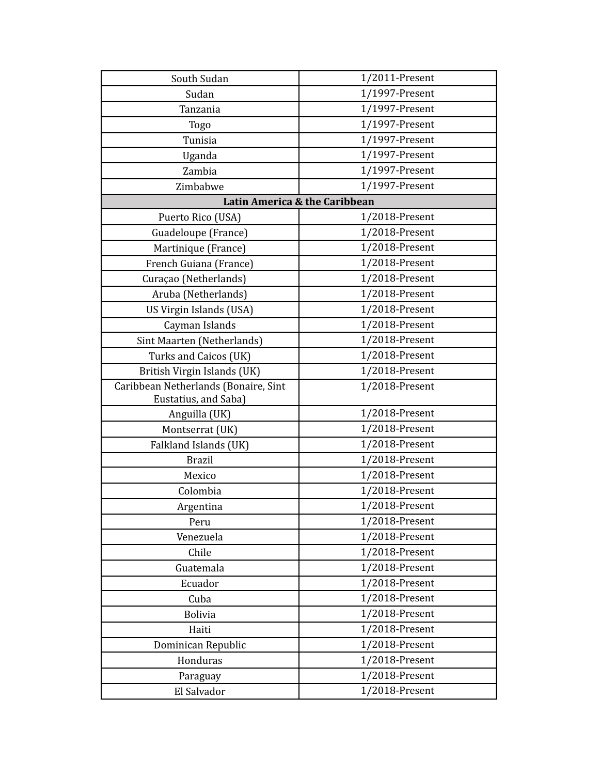| South Sudan                          | 1/2011-Present                |
|--------------------------------------|-------------------------------|
| Sudan                                | 1/1997-Present                |
| Tanzania                             | 1/1997-Present                |
| Togo                                 | 1/1997-Present                |
| Tunisia                              | 1/1997-Present                |
| Uganda                               | 1/1997-Present                |
| Zambia                               | 1/1997-Present                |
| Zimbabwe                             | 1/1997-Present                |
|                                      | Latin America & the Caribbean |
| Puerto Rico (USA)                    | $1/2018$ -Present             |
| Guadeloupe (France)                  | 1/2018-Present                |
| Martinique (France)                  | 1/2018-Present                |
| French Guiana (France)               | 1/2018-Present                |
| Curaçao (Netherlands)                | 1/2018-Present                |
| Aruba (Netherlands)                  | 1/2018-Present                |
| US Virgin Islands (USA)              | 1/2018-Present                |
| Cayman Islands                       | 1/2018-Present                |
| Sint Maarten (Netherlands)           | 1/2018-Present                |
| Turks and Caicos (UK)                | 1/2018-Present                |
| British Virgin Islands (UK)          | 1/2018-Present                |
| Caribbean Netherlands (Bonaire, Sint | 1/2018-Present                |
| Eustatius, and Saba)                 |                               |
| Anguilla (UK)                        | $1/2018$ -Present             |
| Montserrat (UK)                      | 1/2018-Present                |
| Falkland Islands (UK)                | 1/2018-Present                |
| <b>Brazil</b>                        | 1/2018-Present                |
| Mexico                               | 1/2018-Present                |
| Colombia                             | 1/2018-Present                |
| Argentina                            | 1/2018-Present                |
| Peru                                 | 1/2018-Present                |
| Venezuela                            | 1/2018-Present                |
| Chile                                | 1/2018-Present                |
| Guatemala                            | 1/2018-Present                |
| Ecuador                              | 1/2018-Present                |
| Cuba                                 | 1/2018-Present                |
| <b>Bolivia</b>                       | 1/2018-Present                |
| Haiti                                | 1/2018-Present                |
| Dominican Republic                   | 1/2018-Present                |
| Honduras                             | 1/2018-Present                |
| Paraguay                             | 1/2018-Present                |
| El Salvador                          | 1/2018-Present                |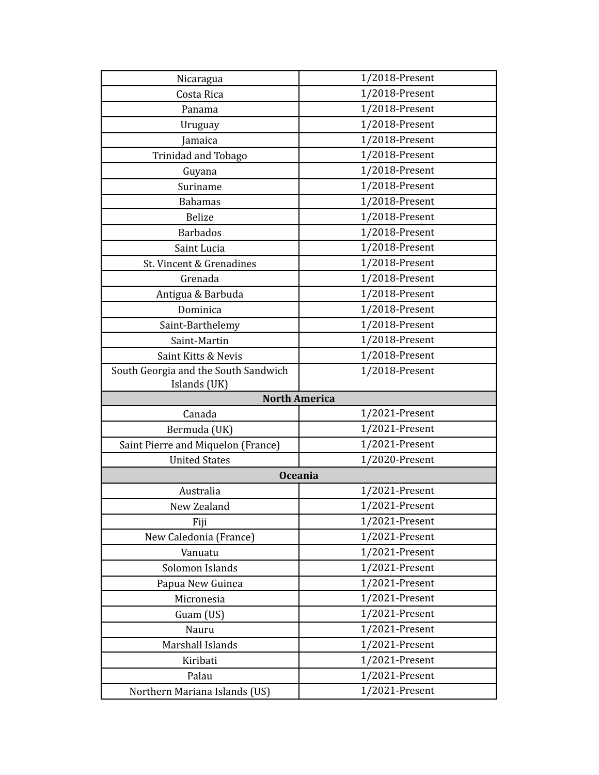| Nicaragua                              | 1/2018-Present                   |
|----------------------------------------|----------------------------------|
| Costa Rica                             | 1/2018-Present                   |
| Panama                                 | 1/2018-Present                   |
| Uruguay                                | 1/2018-Present                   |
| Jamaica                                | 1/2018-Present                   |
| Trinidad and Tobago                    | 1/2018-Present                   |
| Guyana                                 | 1/2018-Present                   |
| Suriname                               | 1/2018-Present                   |
| <b>Bahamas</b>                         | 1/2018-Present                   |
| <b>Belize</b>                          | 1/2018-Present                   |
| <b>Barbados</b>                        | 1/2018-Present                   |
| Saint Lucia                            | 1/2018-Present                   |
| St. Vincent & Grenadines               | 1/2018-Present                   |
| Grenada                                | 1/2018-Present                   |
| Antigua & Barbuda                      | 1/2018-Present                   |
| Dominica                               | 1/2018-Present                   |
| Saint-Barthelemy                       | 1/2018-Present                   |
| Saint-Martin                           | 1/2018-Present                   |
| Saint Kitts & Nevis                    | 1/2018-Present                   |
| South Georgia and the South Sandwich   | 1/2018-Present                   |
| Islands (UK)                           |                                  |
|                                        | <b>North America</b>             |
| Canada                                 | $1/2021$ -Present                |
| Bermuda (UK)                           | 1/2021-Present                   |
| Saint Pierre and Miquelon (France)     | 1/2021-Present                   |
| <b>United States</b>                   | 1/2020-Present                   |
|                                        | <b>Oceania</b>                   |
| Australia                              | 1/2021-Present                   |
| New Zealand                            | 1/2021-Present                   |
| Fiji                                   | 1/2021-Present                   |
| New Caledonia (France)                 | 1/2021-Present                   |
| Vanuatu                                | 1/2021-Present                   |
| Solomon Islands                        | 1/2021-Present                   |
| Papua New Guinea                       | 1/2021-Present                   |
| Micronesia                             | 1/2021-Present                   |
| Guam (US)                              | 1/2021-Present                   |
|                                        |                                  |
| Nauru                                  | 1/2021-Present                   |
| Marshall Islands                       | 1/2021-Present                   |
| Kiribati                               | 1/2021-Present                   |
| Palau<br>Northern Mariana Islands (US) | 1/2021-Present<br>1/2021-Present |